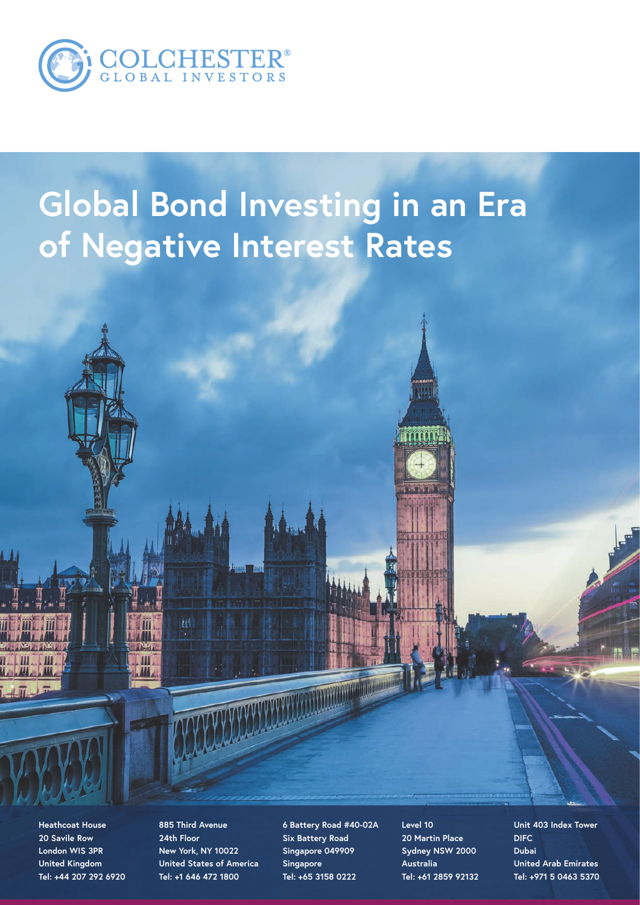

# **Global Bond Investing in an Era of Negative Interest Rates**

**Heathcoat House 20 Savile Row London WIS 3PR United Kingdom Tel: +44 207 292 6920** **885 Third Avenue 24th Floor New York, NY 10022 United States of America Tel: +1 646 472 1800**

糰

III

**6 Battery Road #40-02A Six Battery Road Singapore 049909 Singapore Tel: +65 3158 0222**

**Level 10 20 Martin Place Sydney NSW 2000 Australia Tel: +61 2859 92132** **Unit 403 Index Tower DIFC Dubai United Arab Emirates Tel: +971 5 0463 5370**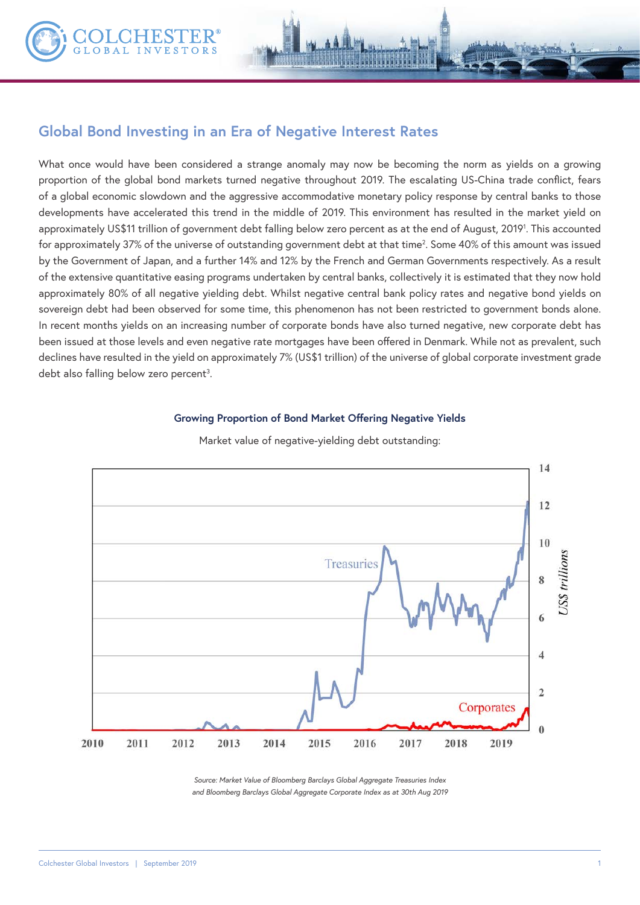

What once would have been considered a strange anomaly may now be becoming the norm as yields on a growing proportion of the global bond markets turned negative throughout 2019. The escalating US-China trade conflict, fears of a global economic slowdown and the aggressive accommodative monetary policy response by central banks to those developments have accelerated this trend in the middle of 2019. This environment has resulted in the market yield on approximately US\$11 trillion of government debt falling below zero percent as at the end of August, 20191 . This accounted for approximately 37% of the universe of outstanding government debt at that time<sup>2</sup>. Some 40% of this amount was issued by the Government of Japan, and a further 14% and 12% by the French and German Governments respectively. As a result of the extensive quantitative easing programs undertaken by central banks, collectively it is estimated that they now hold approximately 80% of all negative yielding debt. Whilst negative central bank policy rates and negative bond yields on sovereign debt had been observed for some time, this phenomenon has not been restricted to government bonds alone. In recent months yields on an increasing number of corporate bonds have also turned negative, new corporate debt has been issued at those levels and even negative rate mortgages have been offered in Denmark. While not as prevalent, such declines have resulted in the yield on approximately 7% (US\$1 trillion) of the universe of global corporate investment grade debt also falling below zero percent<sup>3</sup>.

#### **Growing Proportion of Bond Market Offering Negative Yields**



Market value of negative-yielding debt outstanding:

*Source: Market Value of Bloomberg Barclays Global Aggregate Treasuries Index and Bloomberg Barclays Global Aggregate Corporate Index as at 30th Aug 2019*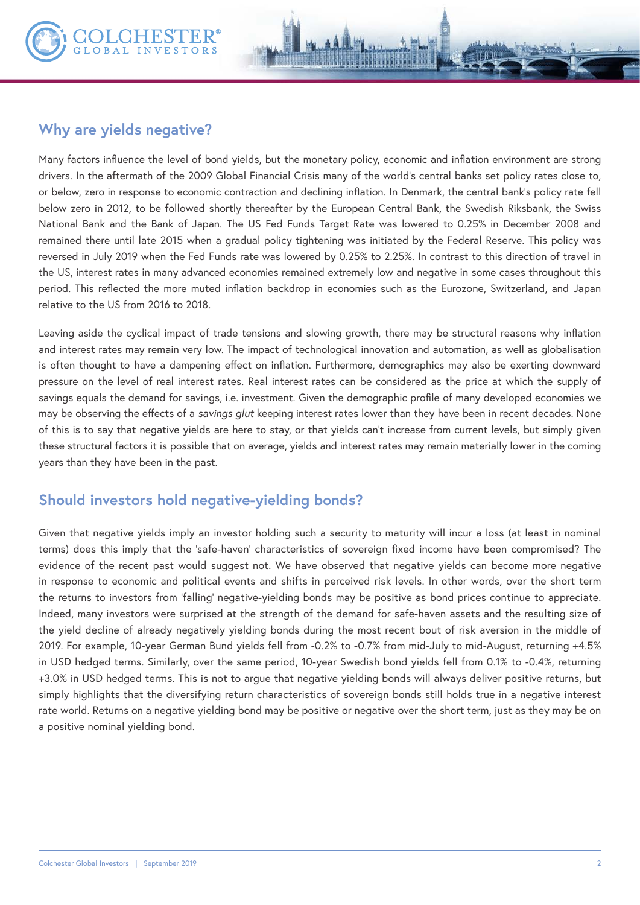

Many factors influence the level of bond yields, but the monetary policy, economic and inflation environment are strong drivers. In the aftermath of the 2009 Global Financial Crisis many of the world's central banks set policy rates close to, or below, zero in response to economic contraction and declining inflation. In Denmark, the central bank's policy rate fell below zero in 2012, to be followed shortly thereafter by the European Central Bank, the Swedish Riksbank, the Swiss National Bank and the Bank of Japan. The US Fed Funds Target Rate was lowered to 0.25% in December 2008 and remained there until late 2015 when a gradual policy tightening was initiated by the Federal Reserve. This policy was reversed in July 2019 when the Fed Funds rate was lowered by 0.25% to 2.25%. In contrast to this direction of travel in the US, interest rates in many advanced economies remained extremely low and negative in some cases throughout this period. This reflected the more muted inflation backdrop in economies such as the Eurozone, Switzerland, and Japan relative to the US from 2016 to 2018.

Leaving aside the cyclical impact of trade tensions and slowing growth, there may be structural reasons why inflation and interest rates may remain very low. The impact of technological innovation and automation, as well as globalisation is often thought to have a dampening effect on inflation. Furthermore, demographics may also be exerting downward pressure on the level of real interest rates. Real interest rates can be considered as the price at which the supply of savings equals the demand for savings, i.e. investment. Given the demographic profile of many developed economies we may be observing the effects of a *savings glut* keeping interest rates lower than they have been in recent decades. None of this is to say that negative yields are here to stay, or that yields can't increase from current levels, but simply given these structural factors it is possible that on average, yields and interest rates may remain materially lower in the coming years than they have been in the past.

# **Should investors hold negative-yielding bonds?**

Given that negative yields imply an investor holding such a security to maturity will incur a loss (at least in nominal terms) does this imply that the 'safe-haven' characteristics of sovereign fixed income have been compromised? The evidence of the recent past would suggest not. We have observed that negative yields can become more negative in response to economic and political events and shifts in perceived risk levels. In other words, over the short term the returns to investors from 'falling' negative-yielding bonds may be positive as bond prices continue to appreciate. Indeed, many investors were surprised at the strength of the demand for safe-haven assets and the resulting size of the yield decline of already negatively yielding bonds during the most recent bout of risk aversion in the middle of 2019. For example, 10-year German Bund yields fell from -0.2% to -0.7% from mid-July to mid-August, returning +4.5% in USD hedged terms. Similarly, over the same period, 10-year Swedish bond yields fell from 0.1% to -0.4%, returning +3.0% in USD hedged terms. This is not to argue that negative yielding bonds will always deliver positive returns, but simply highlights that the diversifying return characteristics of sovereign bonds still holds true in a negative interest rate world. Returns on a negative yielding bond may be positive or negative over the short term, just as they may be on a positive nominal yielding bond.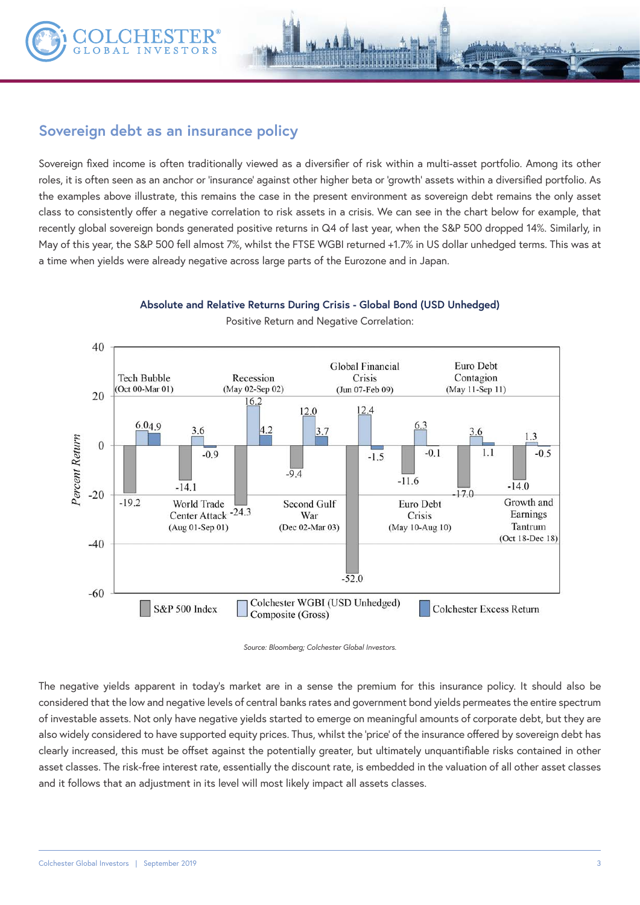

# **Sovereign debt as an insurance policy**

Sovereign fixed income is often traditionally viewed as a diversifier of risk within a multi-asset portfolio. Among its other roles, it is often seen as an anchor or 'insurance' against other higher beta or 'growth' assets within a diversified portfolio. As the examples above illustrate, this remains the case in the present environment as sovereign debt remains the only asset class to consistently offer a negative correlation to risk assets in a crisis. We can see in the chart below for example, that recently global sovereign bonds generated positive returns in Q4 of last year, when the S&P 500 dropped 14%. Similarly, in May of this year, the S&P 500 fell almost 7%, whilst the FTSE WGBI returned +1.7% in US dollar unhedged terms. This was at a time when yields were already negative across large parts of the Eurozone and in Japan.



**Absolute and Relative Returns During Crisis - Global Bond (USD Unhedged)** Positive Return and Negative Correlation:



The negative yields apparent in today's market are in a sense the premium for this insurance policy. It should also be considered that the low and negative levels of central banks rates and government bond yields permeates the entire spectrum of investable assets. Not only have negative yields started to emerge on meaningful amounts of corporate debt, but they are also widely considered to have supported equity prices. Thus, whilst the 'price' of the insurance offered by sovereign debt has clearly increased, this must be offset against the potentially greater, but ultimately unquantifiable risks contained in other asset classes. The risk-free interest rate, essentially the discount rate, is embedded in the valuation of all other asset classes and it follows that an adjustment in its level will most likely impact all assets classes.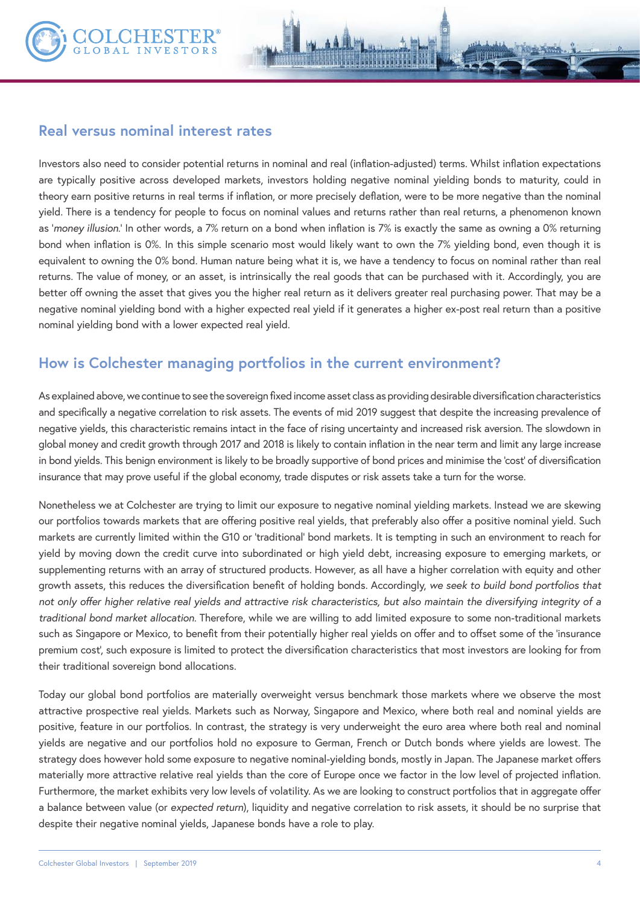

Investors also need to consider potential returns in nominal and real (inflation-adjusted) terms. Whilst inflation expectations are typically positive across developed markets, investors holding negative nominal yielding bonds to maturity, could in theory earn positive returns in real terms if inflation, or more precisely deflation, were to be more negative than the nominal yield. There is a tendency for people to focus on nominal values and returns rather than real returns, a phenomenon known as '*money illusion*.' In other words, a 7% return on a bond when inflation is 7% is exactly the same as owning a 0% returning bond when inflation is 0%. In this simple scenario most would likely want to own the 7% yielding bond, even though it is equivalent to owning the 0% bond. Human nature being what it is, we have a tendency to focus on nominal rather than real returns. The value of money, or an asset, is intrinsically the real goods that can be purchased with it. Accordingly, you are better off owning the asset that gives you the higher real return as it delivers greater real purchasing power. That may be a negative nominal yielding bond with a higher expected real yield if it generates a higher ex-post real return than a positive nominal yielding bond with a lower expected real yield.

## **How is Colchester managing portfolios in the current environment?**

As explained above, we continue to see the sovereign fixed income asset class as providing desirable diversification characteristics and specifically a negative correlation to risk assets. The events of mid 2019 suggest that despite the increasing prevalence of negative yields, this characteristic remains intact in the face of rising uncertainty and increased risk aversion. The slowdown in global money and credit growth through 2017 and 2018 is likely to contain inflation in the near term and limit any large increase in bond yields. This benign environment is likely to be broadly supportive of bond prices and minimise the 'cost' of diversification insurance that may prove useful if the global economy, trade disputes or risk assets take a turn for the worse.

Nonetheless we at Colchester are trying to limit our exposure to negative nominal yielding markets. Instead we are skewing our portfolios towards markets that are offering positive real yields, that preferably also offer a positive nominal yield. Such markets are currently limited within the G10 or 'traditional' bond markets. It is tempting in such an environment to reach for yield by moving down the credit curve into subordinated or high yield debt, increasing exposure to emerging markets, or supplementing returns with an array of structured products. However, as all have a higher correlation with equity and other growth assets, this reduces the diversification benefit of holding bonds. Accordingly, *we seek to build bond portfolios that not only offer higher relative real yields and attractive risk characteristics, but also maintain the diversifying integrity of a traditional bond market allocation*. Therefore, while we are willing to add limited exposure to some non-traditional markets such as Singapore or Mexico, to benefit from their potentially higher real yields on offer and to offset some of the 'insurance premium cost', such exposure is limited to protect the diversification characteristics that most investors are looking for from their traditional sovereign bond allocations.

Today our global bond portfolios are materially overweight versus benchmark those markets where we observe the most attractive prospective real yields. Markets such as Norway, Singapore and Mexico, where both real and nominal yields are positive, feature in our portfolios. In contrast, the strategy is very underweight the euro area where both real and nominal yields are negative and our portfolios hold no exposure to German, French or Dutch bonds where yields are lowest. The strategy does however hold some exposure to negative nominal-yielding bonds, mostly in Japan. The Japanese market offers materially more attractive relative real yields than the core of Europe once we factor in the low level of projected inflation. Furthermore, the market exhibits very low levels of volatility. As we are looking to construct portfolios that in aggregate offer a balance between value (or *expected return*), liquidity and negative correlation to risk assets, it should be no surprise that despite their negative nominal yields, Japanese bonds have a role to play.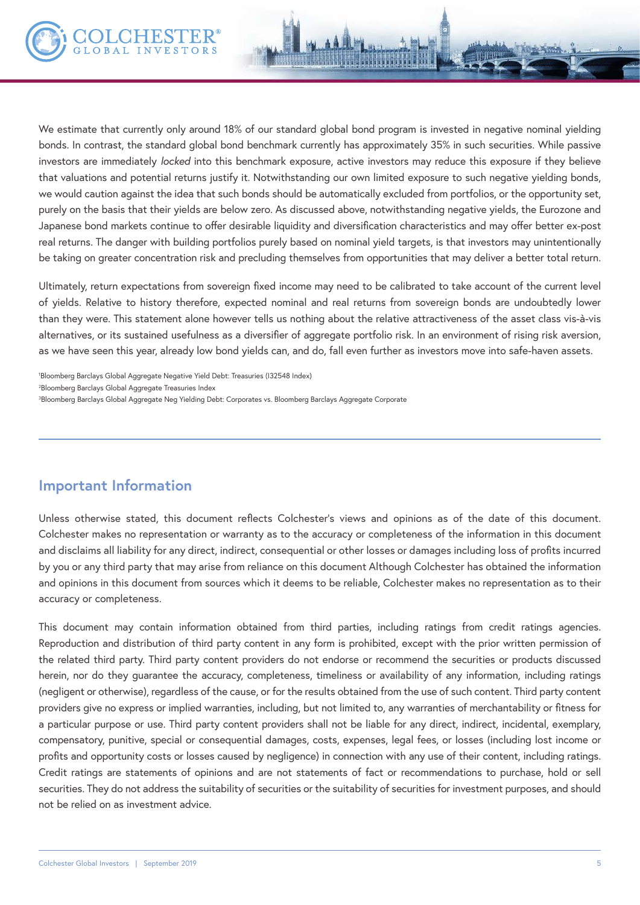We estimate that currently only around 18% of our standard global bond program is invested in negative nominal yielding bonds. In contrast, the standard global bond benchmark currently has approximately 35% in such securities. While passive investors are immediately *locked* into this benchmark exposure, active investors may reduce this exposure if they believe that valuations and potential returns justify it. Notwithstanding our own limited exposure to such negative yielding bonds, we would caution against the idea that such bonds should be automatically excluded from portfolios, or the opportunity set, purely on the basis that their yields are below zero. As discussed above, notwithstanding negative yields, the Eurozone and Japanese bond markets continue to offer desirable liquidity and diversification characteristics and may offer better ex-post real returns. The danger with building portfolios purely based on nominal yield targets, is that investors may unintentionally

Ultimately, return expectations from sovereign fixed income may need to be calibrated to take account of the current level of yields. Relative to history therefore, expected nominal and real returns from sovereign bonds are undoubtedly lower than they were. This statement alone however tells us nothing about the relative attractiveness of the asset class vis-à-vis alternatives, or its sustained usefulness as a diversifier of aggregate portfolio risk. In an environment of rising risk aversion, as we have seen this year, already low bond yields can, and do, fall even further as investors move into safe-haven assets.

be taking on greater concentration risk and precluding themselves from opportunities that may deliver a better total return.

1 Bloomberg Barclays Global Aggregate Negative Yield Debt: Treasuries (I32548 Index) 2 Bloomberg Barclays Global Aggregate Treasuries Index 3 Bloomberg Barclays Global Aggregate Neg Yielding Debt: Corporates vs. Bloomberg Barclays Aggregate Corporate

### **Important Information**

Unless otherwise stated, this document reflects Colchester's views and opinions as of the date of this document. Colchester makes no representation or warranty as to the accuracy or completeness of the information in this document and disclaims all liability for any direct, indirect, consequential or other losses or damages including loss of profits incurred by you or any third party that may arise from reliance on this document Although Colchester has obtained the information and opinions in this document from sources which it deems to be reliable, Colchester makes no representation as to their accuracy or completeness.

This document may contain information obtained from third parties, including ratings from credit ratings agencies. Reproduction and distribution of third party content in any form is prohibited, except with the prior written permission of the related third party. Third party content providers do not endorse or recommend the securities or products discussed herein, nor do they guarantee the accuracy, completeness, timeliness or availability of any information, including ratings (negligent or otherwise), regardless of the cause, or for the results obtained from the use of such content. Third party content providers give no express or implied warranties, including, but not limited to, any warranties of merchantability or fitness for a particular purpose or use. Third party content providers shall not be liable for any direct, indirect, incidental, exemplary, compensatory, punitive, special or consequential damages, costs, expenses, legal fees, or losses (including lost income or profits and opportunity costs or losses caused by negligence) in connection with any use of their content, including ratings. Credit ratings are statements of opinions and are not statements of fact or recommendations to purchase, hold or sell securities. They do not address the suitability of securities or the suitability of securities for investment purposes, and should not be relied on as investment advice.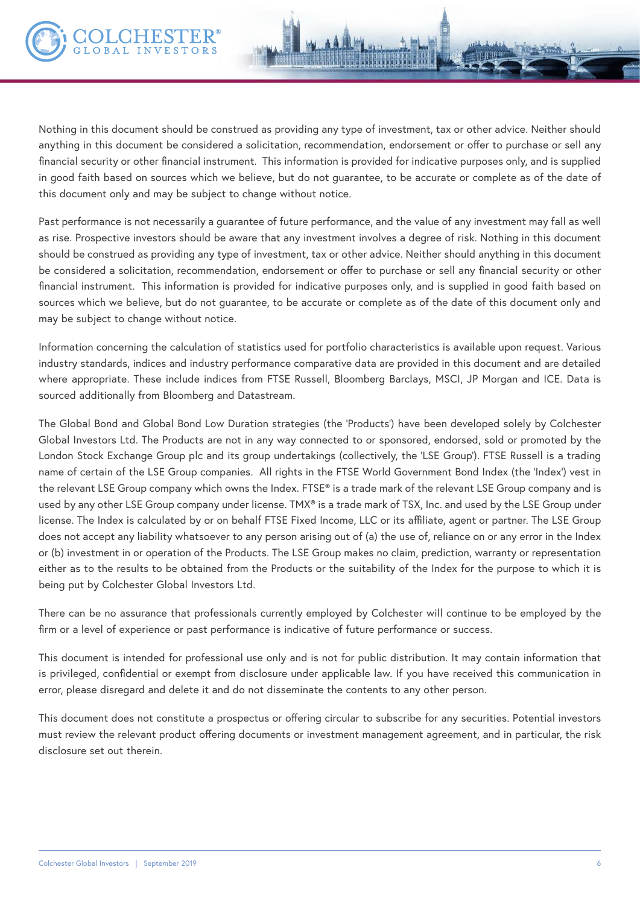

Nothing in this document should be construed as providing any type of investment, tax or other advice. Neither should anything in this document be considered a solicitation, recommendation, endorsement or offer to purchase or sell any financial security or other financial instrument. This information is provided for indicative purposes only, and is supplied in good faith based on sources which we believe, but do not guarantee, to be accurate or complete as of the date of this document only and may be subject to change without notice.

Past performance is not necessarily a guarantee of future performance, and the value of any investment may fall as well as rise. Prospective investors should be aware that any investment involves a degree of risk. Nothing in this document should be construed as providing any type of investment, tax or other advice. Neither should anything in this document be considered a solicitation, recommendation, endorsement or offer to purchase or sell any financial security or other financial instrument. This information is provided for indicative purposes only, and is supplied in good faith based on sources which we believe, but do not guarantee, to be accurate or complete as of the date of this document only and may be subject to change without notice.

Information concerning the calculation of statistics used for portfolio characteristics is available upon request. Various industry standards, indices and industry performance comparative data are provided in this document and are detailed where appropriate. These include indices from FTSE Russell, Bloomberg Barclays, MSCI, JP Morgan and ICE. Data is sourced additionally from Bloomberg and Datastream.

The Global Bond and Global Bond Low Duration strategies (the 'Products') have been developed solely by Colchester Global Investors Ltd. The Products are not in any way connected to or sponsored, endorsed, sold or promoted by the London Stock Exchange Group plc and its group undertakings (collectively, the 'LSE Group'). FTSE Russell is a trading name of certain of the LSE Group companies. All rights in the FTSE World Government Bond Index (the 'Index') vest in the relevant LSE Group company which owns the Index. FTSE® is a trade mark of the relevant LSE Group company and is used by any other LSE Group company under license. TMX® is a trade mark of TSX, Inc. and used by the LSE Group under license. The Index is calculated by or on behalf FTSE Fixed Income, LLC or its affiliate, agent or partner. The LSE Group does not accept any liability whatsoever to any person arising out of (a) the use of, reliance on or any error in the Index or (b) investment in or operation of the Products. The LSE Group makes no claim, prediction, warranty or representation either as to the results to be obtained from the Products or the suitability of the Index for the purpose to which it is being put by Colchester Global Investors Ltd.

There can be no assurance that professionals currently employed by Colchester will continue to be employed by the firm or a level of experience or past performance is indicative of future performance or success.

This document is intended for professional use only and is not for public distribution. It may contain information that is privileged, confidential or exempt from disclosure under applicable law. If you have received this communication in error, please disregard and delete it and do not disseminate the contents to any other person.

This document does not constitute a prospectus or offering circular to subscribe for any securities. Potential investors must review the relevant product offering documents or investment management agreement, and in particular, the risk disclosure set out therein.